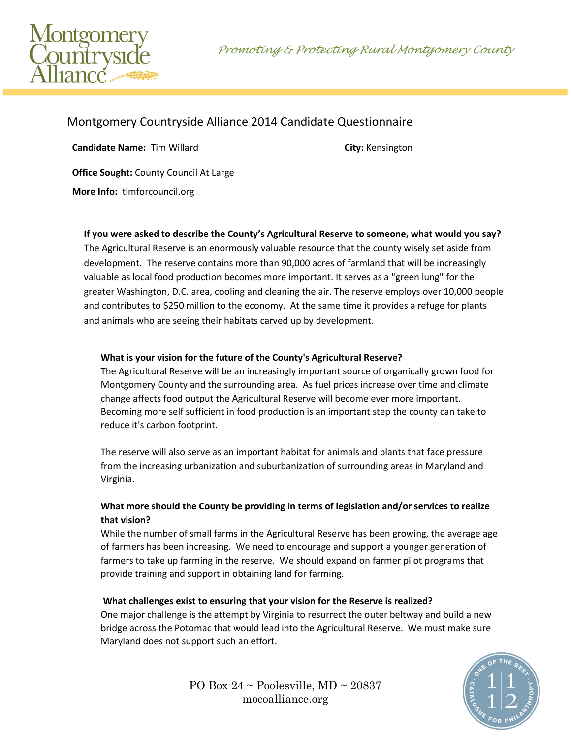Promoting & Protecting Rural Montgomery County



# Montgomery Countryside Alliance 2014 Candidate Questionnaire

**Candidate Name:** Tim Willard **City:** Kensington **Office Sought:** County Council At Large

**More Info:** timforcouncil.org

## **If you were asked to describe the County's Agricultural Reserve to someone, what would you say?**

The Agricultural Reserve is an enormously valuable resource that the county wisely set aside from development. The reserve contains more than 90,000 acres of farmland that will be increasingly valuable as local food production becomes more important. It serves as a "green lung" for the greater Washington, D.C. area, cooling and cleaning the air. The reserve employs over 10,000 people and contributes to \$250 million to the economy. At the same time it provides a refuge for plants and animals who are seeing their habitats carved up by development.

## **What is your vision for the future of the County's Agricultural Reserve?**

The Agricultural Reserve will be an increasingly important source of organically grown food for Montgomery County and the surrounding area. As fuel prices increase over time and climate change affects food output the Agricultural Reserve will become ever more important. Becoming more self sufficient in food production is an important step the county can take to reduce it's carbon footprint.

The reserve will also serve as an important habitat for animals and plants that face pressure from the increasing urbanization and suburbanization of surrounding areas in Maryland and Virginia.

## **What more should the County be providing in terms of legislation and/or services to realize that vision?**

While the number of small farms in the Agricultural Reserve has been growing, the average age of farmers has been increasing. We need to encourage and support a younger generation of farmers to take up farming in the reserve. We should expand on farmer pilot programs that provide training and support in obtaining land for farming.

## **What challenges exist to ensuring that your vision for the Reserve is realized?**

One major challenge is the attempt by Virginia to resurrect the outer beltway and build a new bridge across the Potomac that would lead into the Agricultural Reserve. We must make sure Maryland does not support such an effort.



PO Box  $24 \sim$  Poolesville, MD  $\sim$  20837 mocoalliance.org